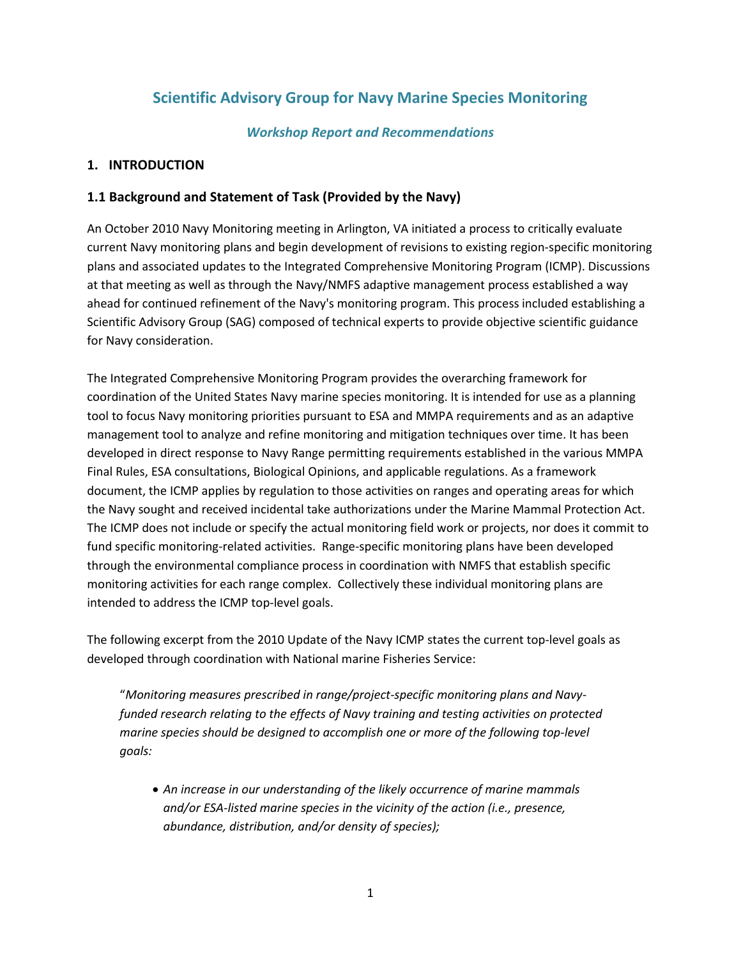## **Scientific Advisory Group for Navy Marine Species Monitoring**

#### *Workshop Report and Recommendations*

#### **1. INTRODUCTION**

#### **1.1 Background and Statement of Task (Provided by the Navy)**

An October 2010 Navy Monitoring meeting in Arlington, VA initiated a process to critically evaluate current Navy monitoring plans and begin development of revisions to existing region-specific monitoring plans and associated updates to the Integrated Comprehensive Monitoring Program (ICMP). Discussions at that meeting as well as through the Navy/NMFS adaptive management process established a way ahead for continued refinement of the Navy's monitoring program. This process included establishing a Scientific Advisory Group (SAG) composed of technical experts to provide objective scientific guidance for Navy consideration.

The Integrated Comprehensive Monitoring Program provides the overarching framework for coordination of the United States Navy marine species monitoring. It is intended for use as a planning tool to focus Navy monitoring priorities pursuant to ESA and MMPA requirements and as an adaptive management tool to analyze and refine monitoring and mitigation techniques over time. It has been developed in direct response to Navy Range permitting requirements established in the various MMPA Final Rules, ESA consultations, Biological Opinions, and applicable regulations. As a framework document, the ICMP applies by regulation to those activities on ranges and operating areas for which the Navy sought and received incidental take authorizations under the Marine Mammal Protection Act. The ICMP does not include or specify the actual monitoring field work or projects, nor does it commit to fund specific monitoring-related activities. Range-specific monitoring plans have been developed through the environmental compliance process in coordination with NMFS that establish specific monitoring activities for each range complex. Collectively these individual monitoring plans are intended to address the ICMP top-level goals.

The following excerpt from the 2010 Update of the Navy ICMP states the current top-level goals as developed through coordination with National marine Fisheries Service:

"*Monitoring measures prescribed in range/project-specific monitoring plans and Navyfunded research relating to the effects of Navy training and testing activities on protected marine species should be designed to accomplish one or more of the following top-level goals:* 

• *An increase in our understanding of the likely occurrence of marine mammals and/or ESA-listed marine species in the vicinity of the action (i.e., presence, abundance, distribution, and/or density of species);*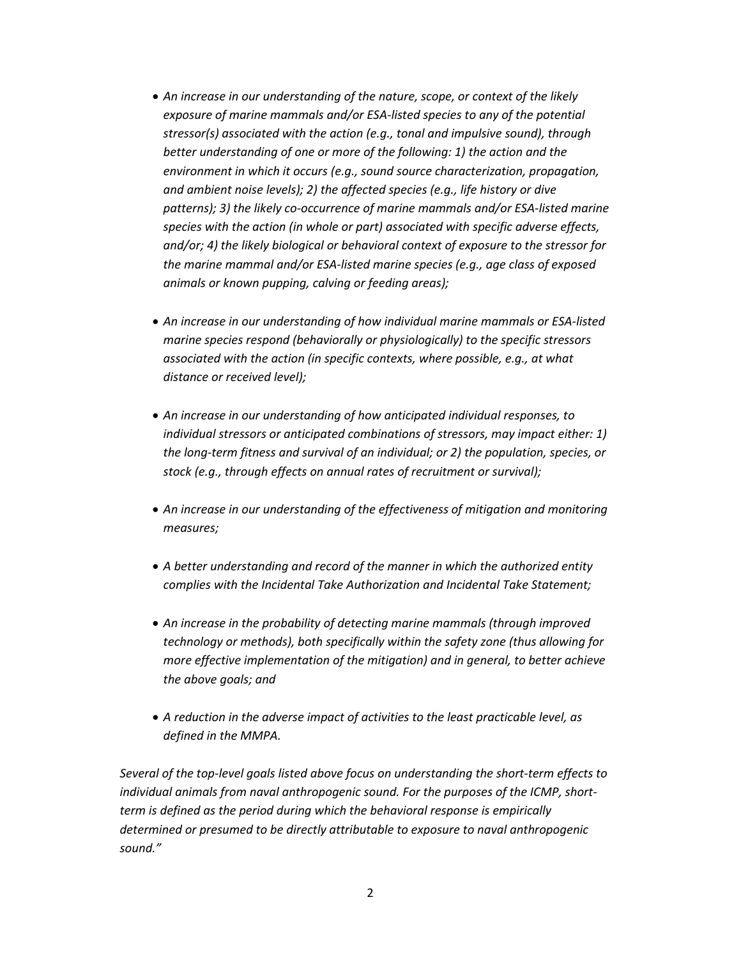- *An increase in our understanding of the nature, scope, or context of the likely exposure of marine mammals and/or ESA-listed species to any of the potential stressor(s) associated with the action (e.g., tonal and impulsive sound), through better understanding of one or more of the following: 1) the action and the environment in which it occurs (e.g., sound source characterization, propagation, and ambient noise levels); 2) the affected species (e.g., life history or dive patterns); 3) the likely co-occurrence of marine mammals and/or ESA-listed marine species with the action (in whole or part) associated with specific adverse effects, and/or; 4) the likely biological or behavioral context of exposure to the stressor for the marine mammal and/or ESA-listed marine species (e.g., age class of exposed animals or known pupping, calving or feeding areas);*
- *An increase in our understanding of how individual marine mammals or ESA-listed marine species respond (behaviorally or physiologically) to the specific stressors associated with the action (in specific contexts, where possible, e.g., at what distance or received level);*
- *An increase in our understanding of how anticipated individual responses, to individual stressors or anticipated combinations of stressors, may impact either: 1) the long-term fitness and survival of an individual; or 2) the population, species, or stock (e.g., through effects on annual rates of recruitment or survival);*
- *An increase in our understanding of the effectiveness of mitigation and monitoring measures;*
- *A better understanding and record of the manner in which the authorized entity complies with the Incidental Take Authorization and Incidental Take Statement;*
- *An increase in the probability of detecting marine mammals (through improved technology or methods), both specifically within the safety zone (thus allowing for more effective implementation of the mitigation) and in general, to better achieve the above goals; and*
- *A reduction in the adverse impact of activities to the least practicable level, as defined in the MMPA.*

*Several of the top-level goals listed above focus on understanding the short-term effects to individual animals from naval anthropogenic sound. For the purposes of the ICMP, shortterm is defined as the period during which the behavioral response is empirically determined or presumed to be directly attributable to exposure to naval anthropogenic sound."*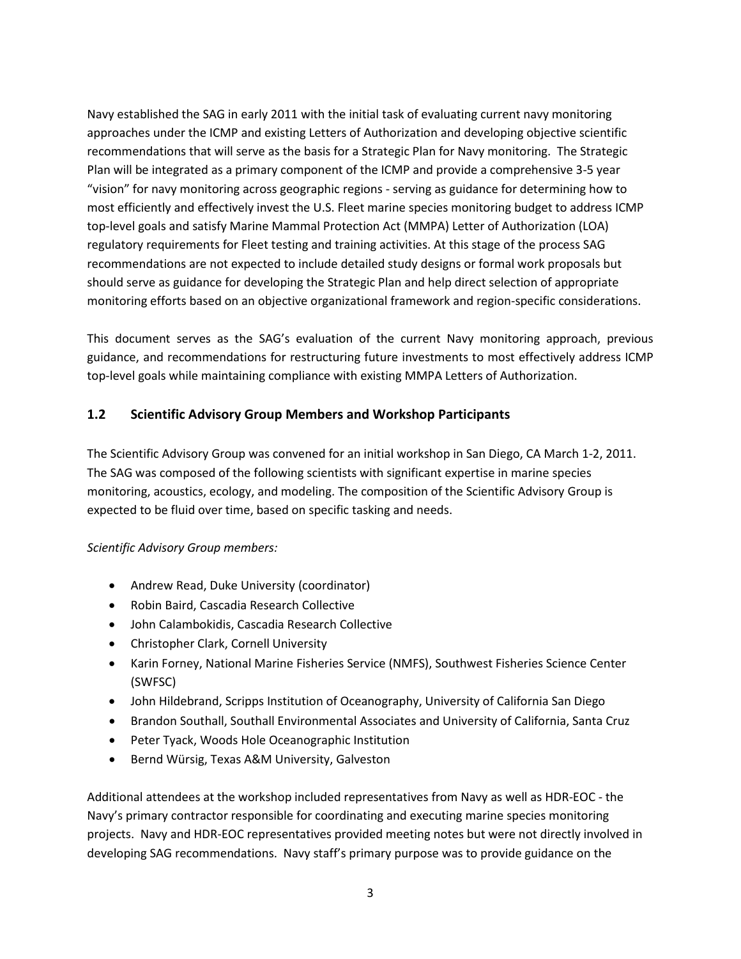Navy established the SAG in early 2011 with the initial task of evaluating current navy monitoring approaches under the ICMP and existing Letters of Authorization and developing objective scientific recommendations that will serve as the basis for a Strategic Plan for Navy monitoring. The Strategic Plan will be integrated as a primary component of the ICMP and provide a comprehensive 3-5 year "vision" for navy monitoring across geographic regions - serving as guidance for determining how to most efficiently and effectively invest the U.S. Fleet marine species monitoring budget to address ICMP top-level goals and satisfy Marine Mammal Protection Act (MMPA) Letter of Authorization (LOA) regulatory requirements for Fleet testing and training activities. At this stage of the process SAG recommendations are not expected to include detailed study designs or formal work proposals but should serve as guidance for developing the Strategic Plan and help direct selection of appropriate monitoring efforts based on an objective organizational framework and region-specific considerations.

This document serves as the SAG's evaluation of the current Navy monitoring approach, previous guidance, and recommendations for restructuring future investments to most effectively address ICMP top-level goals while maintaining compliance with existing MMPA Letters of Authorization.

#### **1.2 Scientific Advisory Group Members and Workshop Participants**

The Scientific Advisory Group was convened for an initial workshop in San Diego, CA March 1-2, 2011. The SAG was composed of the following scientists with significant expertise in marine species monitoring, acoustics, ecology, and modeling. The composition of the Scientific Advisory Group is expected to be fluid over time, based on specific tasking and needs.

#### *Scientific Advisory Group members:*

- Andrew Read, Duke University (coordinator)
- Robin Baird, Cascadia Research Collective
- John Calambokidis, Cascadia Research Collective
- Christopher Clark, Cornell University
- Karin Forney, National Marine Fisheries Service (NMFS), Southwest Fisheries Science Center (SWFSC)
- John Hildebrand, Scripps Institution of Oceanography, University of California San Diego
- Brandon Southall, Southall Environmental Associates and University of California, Santa Cruz
- Peter Tyack, Woods Hole Oceanographic Institution
- Bernd Würsig, Texas A&M University, Galveston

Additional attendees at the workshop included representatives from Navy as well as HDR-EOC - the Navy's primary contractor responsible for coordinating and executing marine species monitoring projects. Navy and HDR-EOC representatives provided meeting notes but were not directly involved in developing SAG recommendations. Navy staff's primary purpose was to provide guidance on the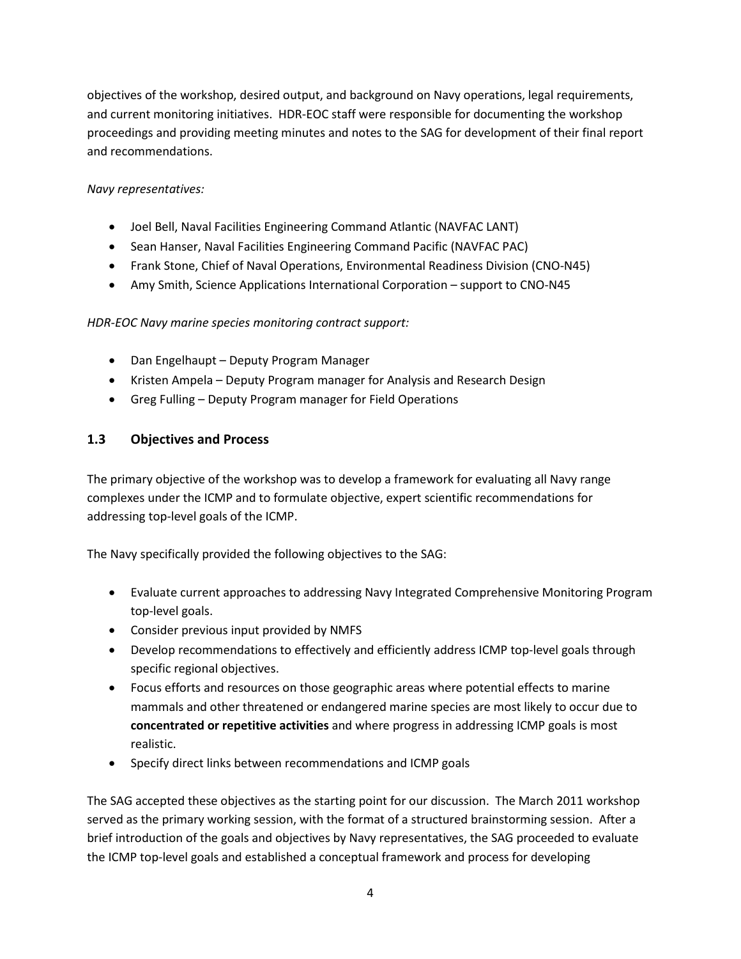objectives of the workshop, desired output, and background on Navy operations, legal requirements, and current monitoring initiatives. HDR-EOC staff were responsible for documenting the workshop proceedings and providing meeting minutes and notes to the SAG for development of their final report and recommendations.

#### *Navy representatives:*

- Joel Bell, Naval Facilities Engineering Command Atlantic (NAVFAC LANT)
- Sean Hanser, Naval Facilities Engineering Command Pacific (NAVFAC PAC)
- Frank Stone, Chief of Naval Operations, Environmental Readiness Division (CNO-N45)
- Amy Smith, Science Applications International Corporation support to CNO-N45

#### *HDR-EOC Navy marine species monitoring contract support:*

- Dan Engelhaupt Deputy Program Manager
- Kristen Ampela Deputy Program manager for Analysis and Research Design
- Greg Fulling Deputy Program manager for Field Operations

#### **1.3 Objectives and Process**

The primary objective of the workshop was to develop a framework for evaluating all Navy range complexes under the ICMP and to formulate objective, expert scientific recommendations for addressing top-level goals of the ICMP.

The Navy specifically provided the following objectives to the SAG:

- Evaluate current approaches to addressing Navy Integrated Comprehensive Monitoring Program top-level goals.
- Consider previous input provided by NMFS
- Develop recommendations to effectively and efficiently address ICMP top-level goals through specific regional objectives.
- Focus efforts and resources on those geographic areas where potential effects to marine mammals and other threatened or endangered marine species are most likely to occur due to **concentrated or repetitive activities** and where progress in addressing ICMP goals is most realistic.
- Specify direct links between recommendations and ICMP goals

The SAG accepted these objectives as the starting point for our discussion. The March 2011 workshop served as the primary working session, with the format of a structured brainstorming session. After a brief introduction of the goals and objectives by Navy representatives, the SAG proceeded to evaluate the ICMP top-level goals and established a conceptual framework and process for developing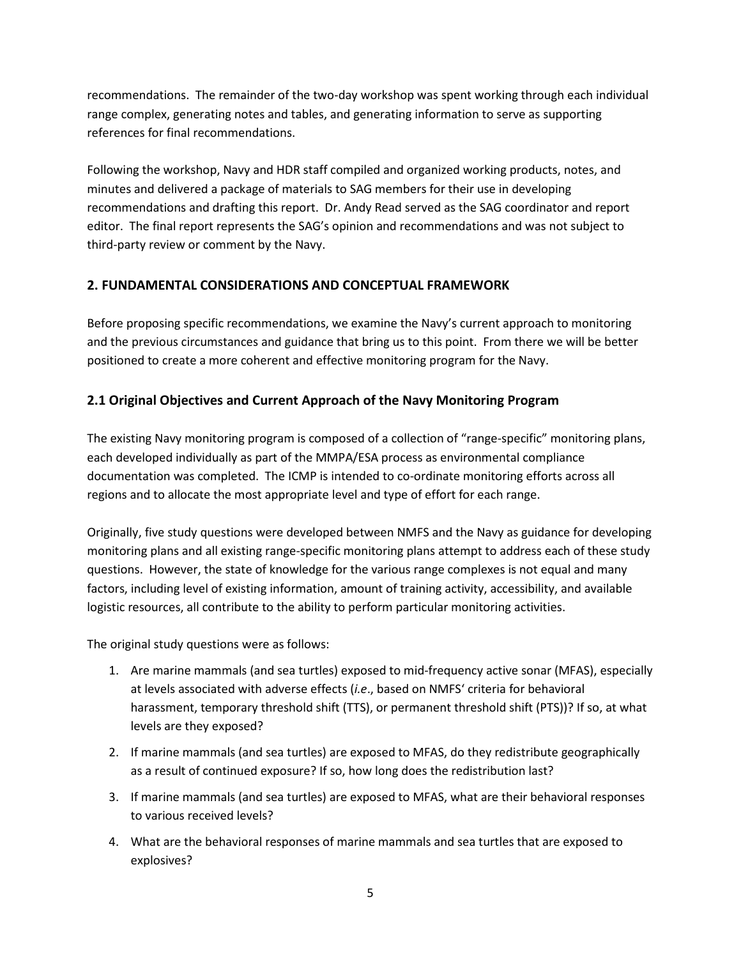recommendations. The remainder of the two-day workshop was spent working through each individual range complex, generating notes and tables, and generating information to serve as supporting references for final recommendations.

Following the workshop, Navy and HDR staff compiled and organized working products, notes, and minutes and delivered a package of materials to SAG members for their use in developing recommendations and drafting this report. Dr. Andy Read served as the SAG coordinator and report editor. The final report represents the SAG's opinion and recommendations and was not subject to third-party review or comment by the Navy.

#### **2. FUNDAMENTAL CONSIDERATIONS AND CONCEPTUAL FRAMEWORK**

Before proposing specific recommendations, we examine the Navy's current approach to monitoring and the previous circumstances and guidance that bring us to this point. From there we will be better positioned to create a more coherent and effective monitoring program for the Navy.

#### **2.1 Original Objectives and Current Approach of the Navy Monitoring Program**

The existing Navy monitoring program is composed of a collection of "range-specific" monitoring plans, each developed individually as part of the MMPA/ESA process as environmental compliance documentation was completed. The ICMP is intended to co-ordinate monitoring efforts across all regions and to allocate the most appropriate level and type of effort for each range.

Originally, five study questions were developed between NMFS and the Navy as guidance for developing monitoring plans and all existing range-specific monitoring plans attempt to address each of these study questions. However, the state of knowledge for the various range complexes is not equal and many factors, including level of existing information, amount of training activity, accessibility, and available logistic resources, all contribute to the ability to perform particular monitoring activities.

The original study questions were as follows:

- 1. Are marine mammals (and sea turtles) exposed to mid-frequency active sonar (MFAS), especially at levels associated with adverse effects (*i.e*., based on NMFS' criteria for behavioral harassment, temporary threshold shift (TTS), or permanent threshold shift (PTS))? If so, at what levels are they exposed?
- 2. If marine mammals (and sea turtles) are exposed to MFAS, do they redistribute geographically as a result of continued exposure? If so, how long does the redistribution last?
- 3. If marine mammals (and sea turtles) are exposed to MFAS, what are their behavioral responses to various received levels?
- 4. What are the behavioral responses of marine mammals and sea turtles that are exposed to explosives?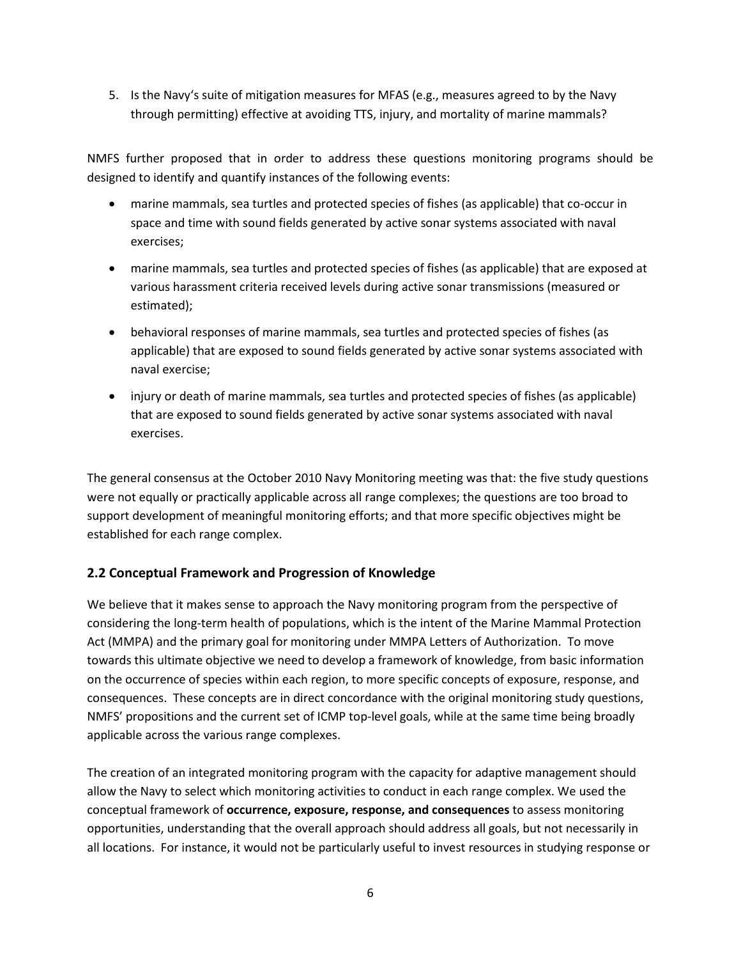5. Is the Navy's suite of mitigation measures for MFAS (e.g., measures agreed to by the Navy through permitting) effective at avoiding TTS, injury, and mortality of marine mammals?

NMFS further proposed that in order to address these questions monitoring programs should be designed to identify and quantify instances of the following events:

- marine mammals, sea turtles and protected species of fishes (as applicable) that co-occur in space and time with sound fields generated by active sonar systems associated with naval exercises;
- marine mammals, sea turtles and protected species of fishes (as applicable) that are exposed at various harassment criteria received levels during active sonar transmissions (measured or estimated);
- behavioral responses of marine mammals, sea turtles and protected species of fishes (as applicable) that are exposed to sound fields generated by active sonar systems associated with naval exercise;
- injury or death of marine mammals, sea turtles and protected species of fishes (as applicable) that are exposed to sound fields generated by active sonar systems associated with naval exercises.

The general consensus at the October 2010 Navy Monitoring meeting was that: the five study questions were not equally or practically applicable across all range complexes; the questions are too broad to support development of meaningful monitoring efforts; and that more specific objectives might be established for each range complex.

#### **2.2 Conceptual Framework and Progression of Knowledge**

We believe that it makes sense to approach the Navy monitoring program from the perspective of considering the long-term health of populations, which is the intent of the Marine Mammal Protection Act (MMPA) and the primary goal for monitoring under MMPA Letters of Authorization. To move towards this ultimate objective we need to develop a framework of knowledge, from basic information on the occurrence of species within each region, to more specific concepts of exposure, response, and consequences. These concepts are in direct concordance with the original monitoring study questions, NMFS' propositions and the current set of ICMP top-level goals, while at the same time being broadly applicable across the various range complexes.

The creation of an integrated monitoring program with the capacity for adaptive management should allow the Navy to select which monitoring activities to conduct in each range complex. We used the conceptual framework of **occurrence, exposure, response, and consequences** to assess monitoring opportunities, understanding that the overall approach should address all goals, but not necessarily in all locations. For instance, it would not be particularly useful to invest resources in studying response or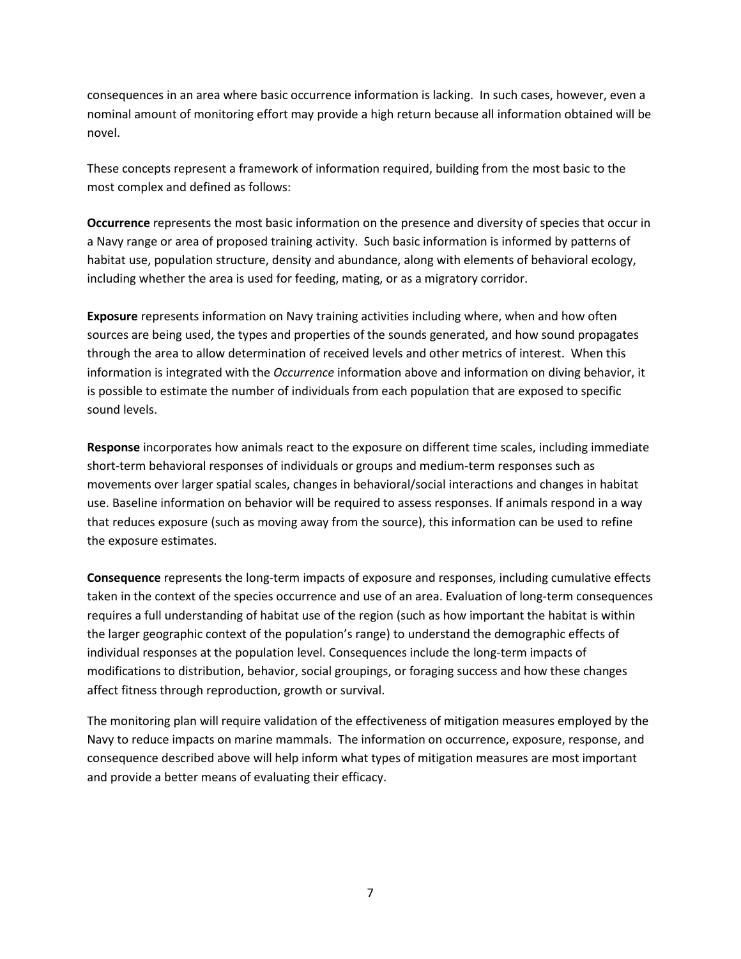consequences in an area where basic occurrence information is lacking. In such cases, however, even a nominal amount of monitoring effort may provide a high return because all information obtained will be novel.

These concepts represent a framework of information required, building from the most basic to the most complex and defined as follows:

**Occurrence** represents the most basic information on the presence and diversity of species that occur in a Navy range or area of proposed training activity. Such basic information is informed by patterns of habitat use, population structure, density and abundance, along with elements of behavioral ecology, including whether the area is used for feeding, mating, or as a migratory corridor.

**Exposure** represents information on Navy training activities including where, when and how often sources are being used, the types and properties of the sounds generated, and how sound propagates through the area to allow determination of received levels and other metrics of interest. When this information is integrated with the *Occurrence* information above and information on diving behavior, it is possible to estimate the number of individuals from each population that are exposed to specific sound levels.

**Response** incorporates how animals react to the exposure on different time scales, including immediate short-term behavioral responses of individuals or groups and medium-term responses such as movements over larger spatial scales, changes in behavioral/social interactions and changes in habitat use. Baseline information on behavior will be required to assess responses. If animals respond in a way that reduces exposure (such as moving away from the source), this information can be used to refine the exposure estimates.

**Consequence** represents the long-term impacts of exposure and responses, including cumulative effects taken in the context of the species occurrence and use of an area. Evaluation of long-term consequences requires a full understanding of habitat use of the region (such as how important the habitat is within the larger geographic context of the population's range) to understand the demographic effects of individual responses at the population level. Consequences include the long-term impacts of modifications to distribution, behavior, social groupings, or foraging success and how these changes affect fitness through reproduction, growth or survival.

The monitoring plan will require validation of the effectiveness of mitigation measures employed by the Navy to reduce impacts on marine mammals. The information on occurrence, exposure, response, and consequence described above will help inform what types of mitigation measures are most important and provide a better means of evaluating their efficacy.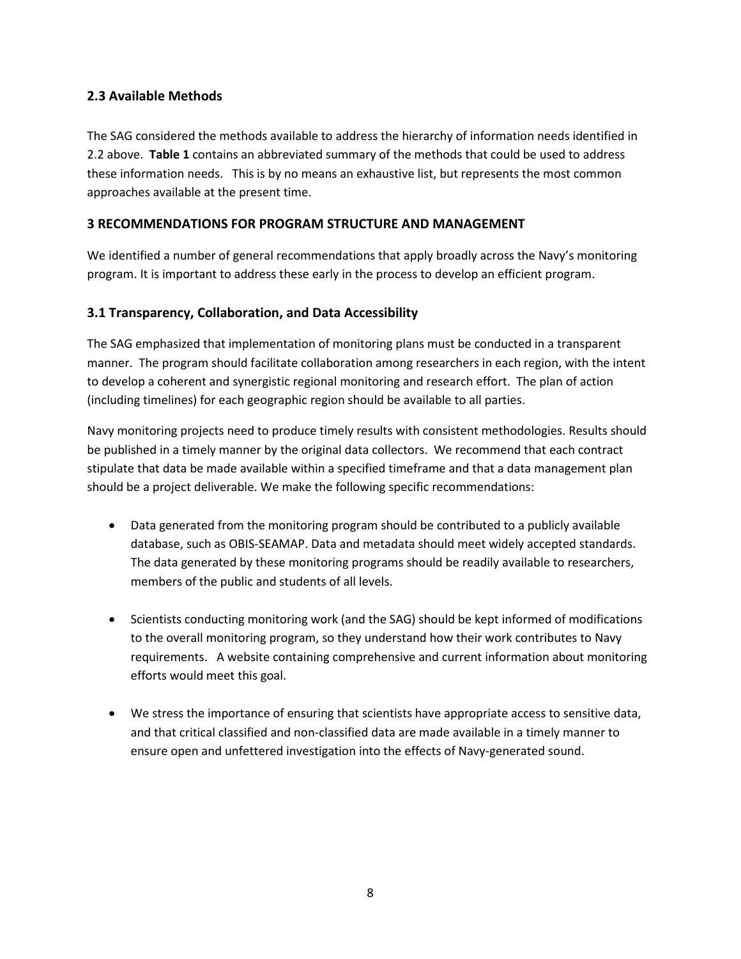#### **2.3 Available Methods**

The SAG considered the methods available to address the hierarchy of information needs identified in 2.2 above. **Table 1** contains an abbreviated summary of the methods that could be used to address these information needs. This is by no means an exhaustive list, but represents the most common approaches available at the present time.

#### **3 RECOMMENDATIONS FOR PROGRAM STRUCTURE AND MANAGEMENT**

We identified a number of general recommendations that apply broadly across the Navy's monitoring program. It is important to address these early in the process to develop an efficient program.

#### **3.1 Transparency, Collaboration, and Data Accessibility**

The SAG emphasized that implementation of monitoring plans must be conducted in a transparent manner. The program should facilitate collaboration among researchers in each region, with the intent to develop a coherent and synergistic regional monitoring and research effort. The plan of action (including timelines) for each geographic region should be available to all parties.

Navy monitoring projects need to produce timely results with consistent methodologies. Results should be published in a timely manner by the original data collectors. We recommend that each contract stipulate that data be made available within a specified timeframe and that a data management plan should be a project deliverable. We make the following specific recommendations:

- Data generated from the monitoring program should be contributed to a publicly available database, such as OBIS-SEAMAP. Data and metadata should meet widely accepted standards. The data generated by these monitoring programs should be readily available to researchers, members of the public and students of all levels.
- Scientists conducting monitoring work (and the SAG) should be kept informed of modifications to the overall monitoring program, so they understand how their work contributes to Navy requirements. A website containing comprehensive and current information about monitoring efforts would meet this goal.
- We stress the importance of ensuring that scientists have appropriate access to sensitive data, and that critical classified and non-classified data are made available in a timely manner to ensure open and unfettered investigation into the effects of Navy-generated sound.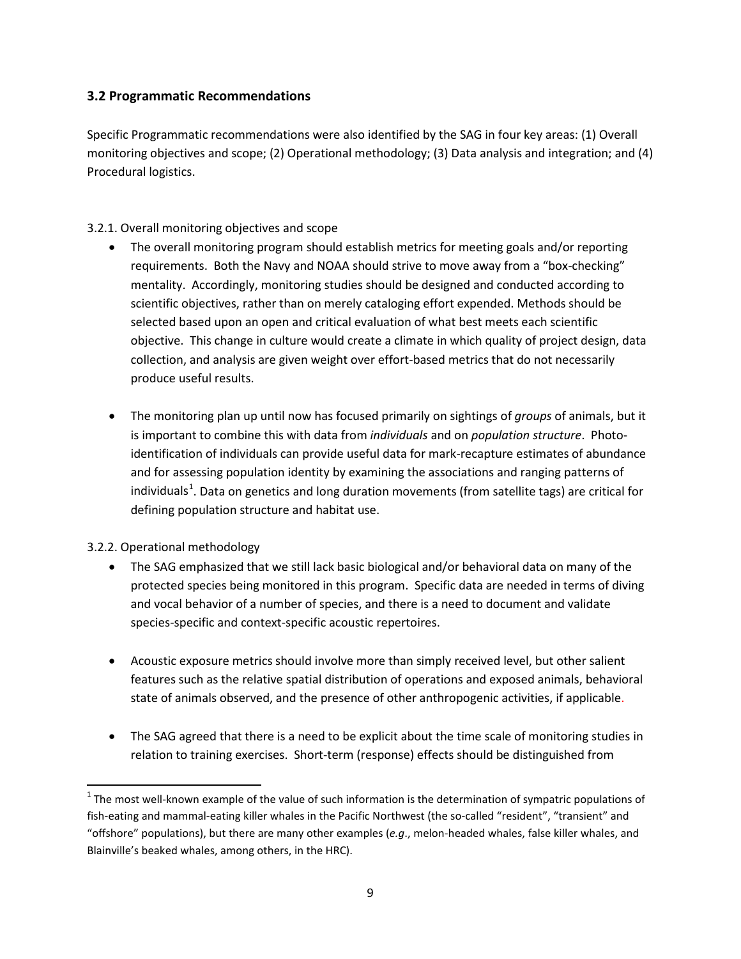#### **3.2 Programmatic Recommendations**

Specific Programmatic recommendations were also identified by the SAG in four key areas: (1) Overall monitoring objectives and scope; (2) Operational methodology; (3) Data analysis and integration; and (4) Procedural logistics.

#### 3.2.1. Overall monitoring objectives and scope

- The overall monitoring program should establish metrics for meeting goals and/or reporting requirements. Both the Navy and NOAA should strive to move away from a "box-checking" mentality. Accordingly, monitoring studies should be designed and conducted according to scientific objectives, rather than on merely cataloging effort expended. Methods should be selected based upon an open and critical evaluation of what best meets each scientific objective. This change in culture would create a climate in which quality of project design, data collection, and analysis are given weight over effort-based metrics that do not necessarily produce useful results.
- The monitoring plan up until now has focused primarily on sightings of *groups* of animals, but it is important to combine this with data from *individuals* and on *population structure*. Photoidentification of individuals can provide useful data for mark-recapture estimates of abundance and for assessing population identity by examining the associations and ranging patterns of individuals<sup>[1](#page-8-0)</sup>. Data on genetics and long duration movements (from satellite tags) are critical for defining population structure and habitat use.

#### 3.2.2. Operational methodology

- The SAG emphasized that we still lack basic biological and/or behavioral data on many of the protected species being monitored in this program. Specific data are needed in terms of diving and vocal behavior of a number of species, and there is a need to document and validate species-specific and context-specific acoustic repertoires.
- Acoustic exposure metrics should involve more than simply received level, but other salient features such as the relative spatial distribution of operations and exposed animals, behavioral state of animals observed, and the presence of other anthropogenic activities, if applicable.
- The SAG agreed that there is a need to be explicit about the time scale of monitoring studies in relation to training exercises. Short-term (response) effects should be distinguished from

<span id="page-8-0"></span> $1$  The most well-known example of the value of such information is the determination of sympatric populations of fish-eating and mammal-eating killer whales in the Pacific Northwest (the so-called "resident", "transient" and "offshore" populations), but there are many other examples (*e.g*., melon-headed whales, false killer whales, and Blainville's beaked whales, among others, in the HRC).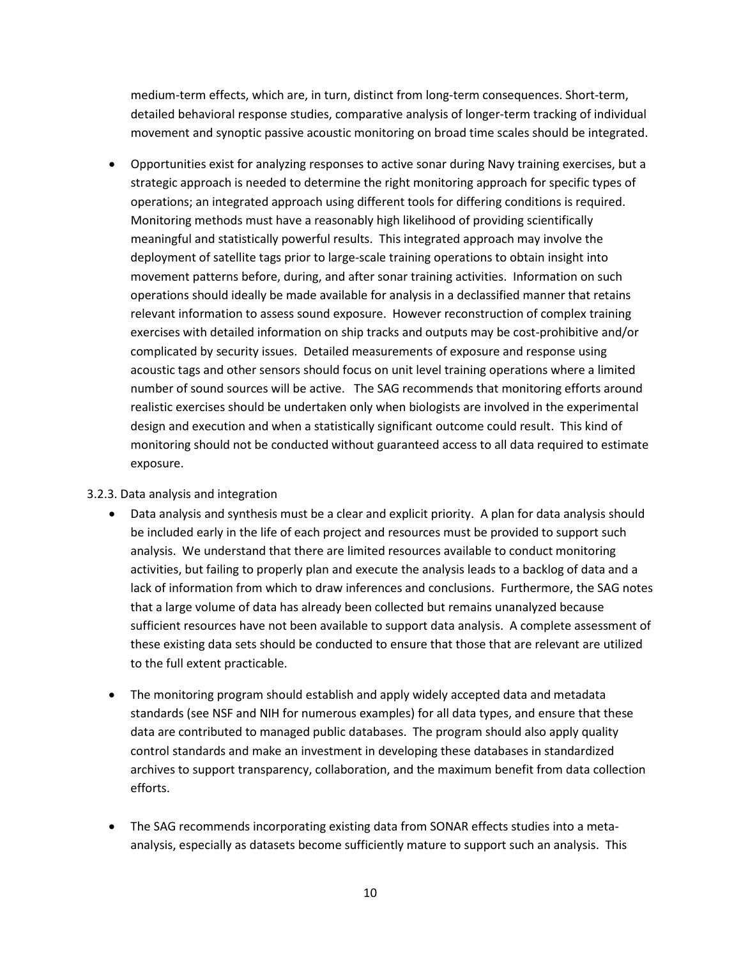medium-term effects, which are, in turn, distinct from long-term consequences. Short-term, detailed behavioral response studies, comparative analysis of longer-term tracking of individual movement and synoptic passive acoustic monitoring on broad time scales should be integrated.

• Opportunities exist for analyzing responses to active sonar during Navy training exercises, but a strategic approach is needed to determine the right monitoring approach for specific types of operations; an integrated approach using different tools for differing conditions is required. Monitoring methods must have a reasonably high likelihood of providing scientifically meaningful and statistically powerful results. This integrated approach may involve the deployment of satellite tags prior to large-scale training operations to obtain insight into movement patterns before, during, and after sonar training activities. Information on such operations should ideally be made available for analysis in a declassified manner that retains relevant information to assess sound exposure. However reconstruction of complex training exercises with detailed information on ship tracks and outputs may be cost-prohibitive and/or complicated by security issues. Detailed measurements of exposure and response using acoustic tags and other sensors should focus on unit level training operations where a limited number of sound sources will be active. The SAG recommends that monitoring efforts around realistic exercises should be undertaken only when biologists are involved in the experimental design and execution and when a statistically significant outcome could result. This kind of monitoring should not be conducted without guaranteed access to all data required to estimate exposure.

#### 3.2.3. Data analysis and integration

- Data analysis and synthesis must be a clear and explicit priority. A plan for data analysis should be included early in the life of each project and resources must be provided to support such analysis. We understand that there are limited resources available to conduct monitoring activities, but failing to properly plan and execute the analysis leads to a backlog of data and a lack of information from which to draw inferences and conclusions. Furthermore, the SAG notes that a large volume of data has already been collected but remains unanalyzed because sufficient resources have not been available to support data analysis. A complete assessment of these existing data sets should be conducted to ensure that those that are relevant are utilized to the full extent practicable.
- The monitoring program should establish and apply widely accepted data and metadata standards (see NSF and NIH for numerous examples) for all data types, and ensure that these data are contributed to managed public databases. The program should also apply quality control standards and make an investment in developing these databases in standardized archives to support transparency, collaboration, and the maximum benefit from data collection efforts.
- The SAG recommends incorporating existing data from SONAR effects studies into a metaanalysis, especially as datasets become sufficiently mature to support such an analysis. This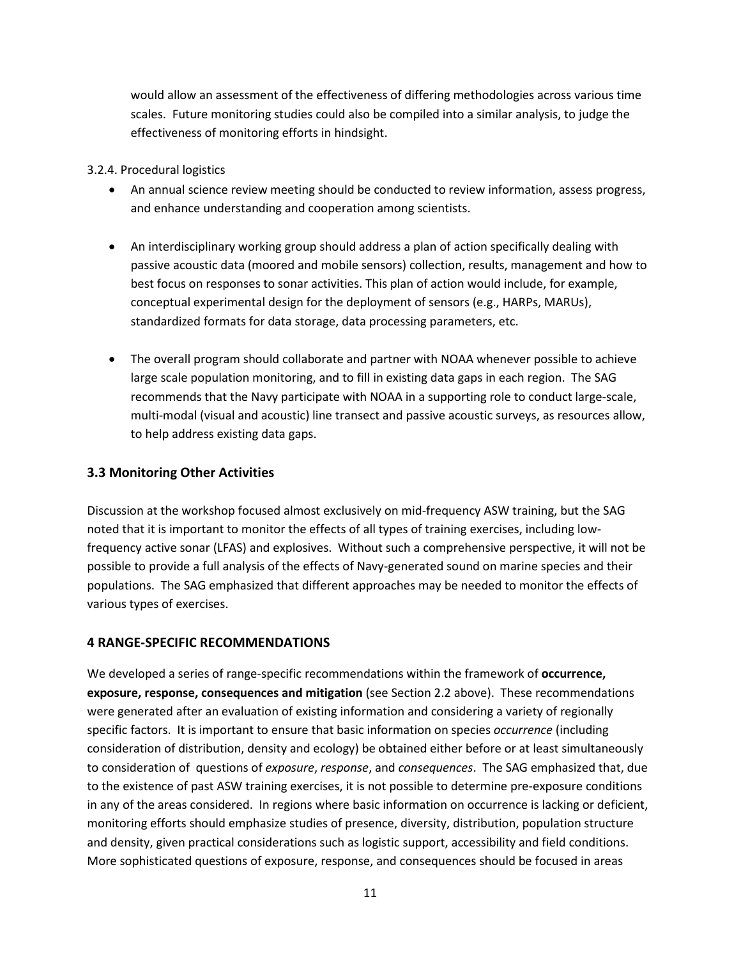would allow an assessment of the effectiveness of differing methodologies across various time scales. Future monitoring studies could also be compiled into a similar analysis, to judge the effectiveness of monitoring efforts in hindsight.

#### 3.2.4. Procedural logistics

- An annual science review meeting should be conducted to review information, assess progress, and enhance understanding and cooperation among scientists.
- An interdisciplinary working group should address a plan of action specifically dealing with passive acoustic data (moored and mobile sensors) collection, results, management and how to best focus on responses to sonar activities. This plan of action would include, for example, conceptual experimental design for the deployment of sensors (e.g., HARPs, MARUs), standardized formats for data storage, data processing parameters, etc.
- The overall program should collaborate and partner with NOAA whenever possible to achieve large scale population monitoring, and to fill in existing data gaps in each region. The SAG recommends that the Navy participate with NOAA in a supporting role to conduct large-scale, multi-modal (visual and acoustic) line transect and passive acoustic surveys, as resources allow, to help address existing data gaps.

#### **3.3 Monitoring Other Activities**

Discussion at the workshop focused almost exclusively on mid-frequency ASW training, but the SAG noted that it is important to monitor the effects of all types of training exercises, including lowfrequency active sonar (LFAS) and explosives. Without such a comprehensive perspective, it will not be possible to provide a full analysis of the effects of Navy-generated sound on marine species and their populations. The SAG emphasized that different approaches may be needed to monitor the effects of various types of exercises.

#### **4 RANGE-SPECIFIC RECOMMENDATIONS**

We developed a series of range-specific recommendations within the framework of **occurrence, exposure, response, consequences and mitigation** (see Section 2.2 above). These recommendations were generated after an evaluation of existing information and considering a variety of regionally specific factors. It is important to ensure that basic information on species *occurrence* (including consideration of distribution, density and ecology) be obtained either before or at least simultaneously to consideration of questions of *exposure*, *response*, and *consequences*. The SAG emphasized that, due to the existence of past ASW training exercises, it is not possible to determine pre-exposure conditions in any of the areas considered. In regions where basic information on occurrence is lacking or deficient, monitoring efforts should emphasize studies of presence, diversity, distribution, population structure and density, given practical considerations such as logistic support, accessibility and field conditions. More sophisticated questions of exposure, response, and consequences should be focused in areas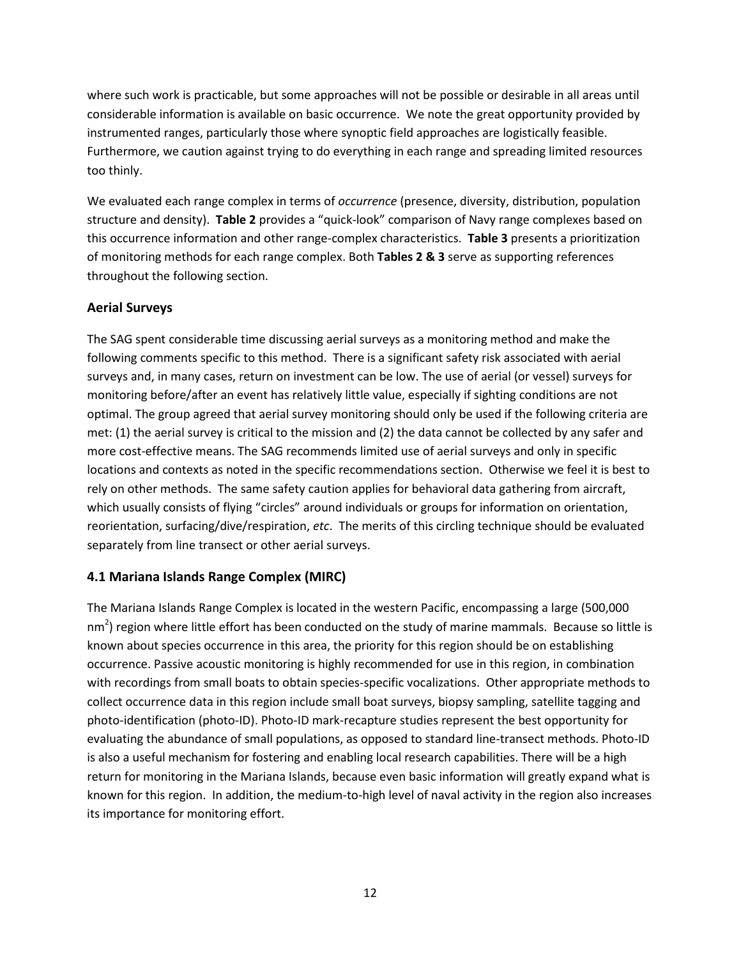where such work is practicable, but some approaches will not be possible or desirable in all areas until considerable information is available on basic occurrence. We note the great opportunity provided by instrumented ranges, particularly those where synoptic field approaches are logistically feasible. Furthermore, we caution against trying to do everything in each range and spreading limited resources too thinly.

We evaluated each range complex in terms of *occurrence* (presence, diversity, distribution, population structure and density). **Table 2** provides a "quick-look" comparison of Navy range complexes based on this occurrence information and other range-complex characteristics. **Table 3** presents a prioritization of monitoring methods for each range complex. Both **Tables 2 & 3** serve as supporting references throughout the following section.

#### **Aerial Surveys**

The SAG spent considerable time discussing aerial surveys as a monitoring method and make the following comments specific to this method. There is a significant safety risk associated with aerial surveys and, in many cases, return on investment can be low. The use of aerial (or vessel) surveys for monitoring before/after an event has relatively little value, especially if sighting conditions are not optimal. The group agreed that aerial survey monitoring should only be used if the following criteria are met: (1) the aerial survey is critical to the mission and (2) the data cannot be collected by any safer and more cost-effective means. The SAG recommends limited use of aerial surveys and only in specific locations and contexts as noted in the specific recommendations section. Otherwise we feel it is best to rely on other methods. The same safety caution applies for behavioral data gathering from aircraft, which usually consists of flying "circles" around individuals or groups for information on orientation, reorientation, surfacing/dive/respiration, *etc*. The merits of this circling technique should be evaluated separately from line transect or other aerial surveys.

#### **4.1 Mariana Islands Range Complex (MIRC)**

The Mariana Islands Range Complex is located in the western Pacific, encompassing a large (500,000 nm<sup>2</sup>) region where little effort has been conducted on the study of marine mammals. Because so little is known about species occurrence in this area, the priority for this region should be on establishing occurrence. Passive acoustic monitoring is highly recommended for use in this region, in combination with recordings from small boats to obtain species-specific vocalizations. Other appropriate methods to collect occurrence data in this region include small boat surveys, biopsy sampling, satellite tagging and photo-identification (photo-ID). Photo-ID mark-recapture studies represent the best opportunity for evaluating the abundance of small populations, as opposed to standard line-transect methods. Photo-ID is also a useful mechanism for fostering and enabling local research capabilities. There will be a high return for monitoring in the Mariana Islands, because even basic information will greatly expand what is known for this region. In addition, the medium-to-high level of naval activity in the region also increases its importance for monitoring effort.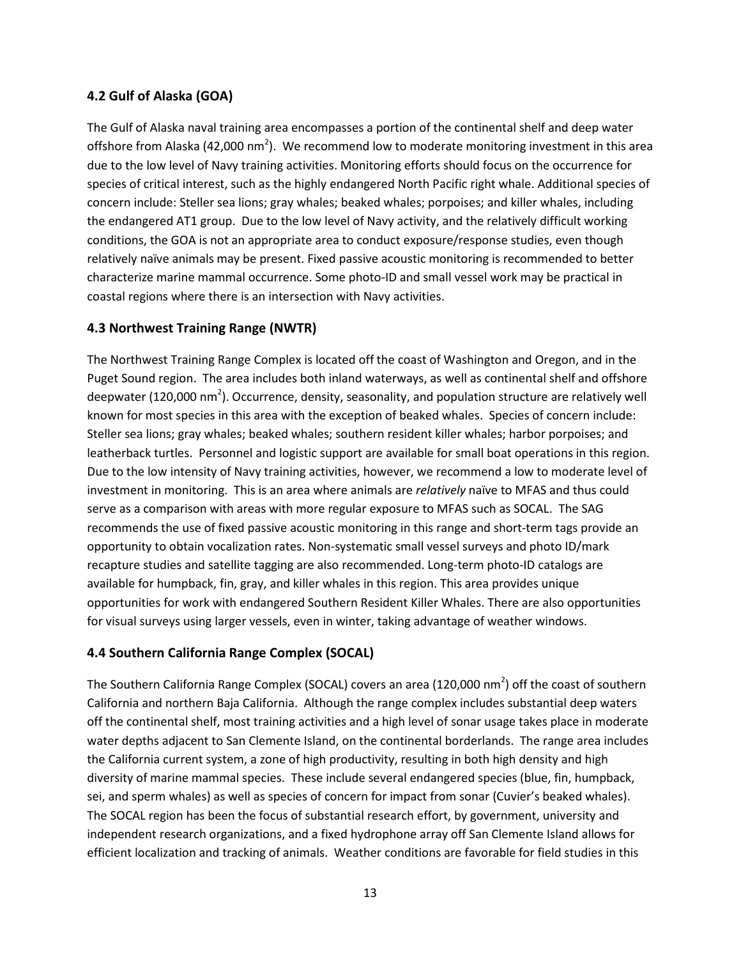#### **4.2 Gulf of Alaska (GOA)**

The Gulf of Alaska naval training area encompasses a portion of the continental shelf and deep water offshore from Alaska (42,000 nm<sup>2</sup>). We recommend low to moderate monitoring investment in this area due to the low level of Navy training activities. Monitoring efforts should focus on the occurrence for species of critical interest, such as the highly endangered North Pacific right whale. Additional species of concern include: Steller sea lions; gray whales; beaked whales; porpoises; and killer whales, including the endangered AT1 group. Due to the low level of Navy activity, and the relatively difficult working conditions, the GOA is not an appropriate area to conduct exposure/response studies, even though relatively naïve animals may be present. Fixed passive acoustic monitoring is recommended to better characterize marine mammal occurrence. Some photo-ID and small vessel work may be practical in coastal regions where there is an intersection with Navy activities.

#### **4.3 Northwest Training Range (NWTR)**

The Northwest Training Range Complex is located off the coast of Washington and Oregon, and in the Puget Sound region. The area includes both inland waterways, as well as continental shelf and offshore deepwater (120,000 nm<sup>2</sup>). Occurrence, density, seasonality, and population structure are relatively well known for most species in this area with the exception of beaked whales. Species of concern include: Steller sea lions; gray whales; beaked whales; southern resident killer whales; harbor porpoises; and leatherback turtles. Personnel and logistic support are available for small boat operations in this region. Due to the low intensity of Navy training activities, however, we recommend a low to moderate level of investment in monitoring. This is an area where animals are *relatively* naïve to MFAS and thus could serve as a comparison with areas with more regular exposure to MFAS such as SOCAL. The SAG recommends the use of fixed passive acoustic monitoring in this range and short-term tags provide an opportunity to obtain vocalization rates. Non-systematic small vessel surveys and photo ID/mark recapture studies and satellite tagging are also recommended. Long-term photo-ID catalogs are available for humpback, fin, gray, and killer whales in this region. This area provides unique opportunities for work with endangered Southern Resident Killer Whales. There are also opportunities for visual surveys using larger vessels, even in winter, taking advantage of weather windows.

#### **4.4 Southern California Range Complex (SOCAL)**

The Southern California Range Complex (SOCAL) covers an area (120,000 nm<sup>2</sup>) off the coast of southern California and northern Baja California. Although the range complex includes substantial deep waters off the continental shelf, most training activities and a high level of sonar usage takes place in moderate water depths adjacent to San Clemente Island, on the continental borderlands. The range area includes the California current system, a zone of high productivity, resulting in both high density and high diversity of marine mammal species. These include several endangered species (blue, fin, humpback, sei, and sperm whales) as well as species of concern for impact from sonar (Cuvier's beaked whales). The SOCAL region has been the focus of substantial research effort, by government, university and independent research organizations, and a fixed hydrophone array off San Clemente Island allows for efficient localization and tracking of animals. Weather conditions are favorable for field studies in this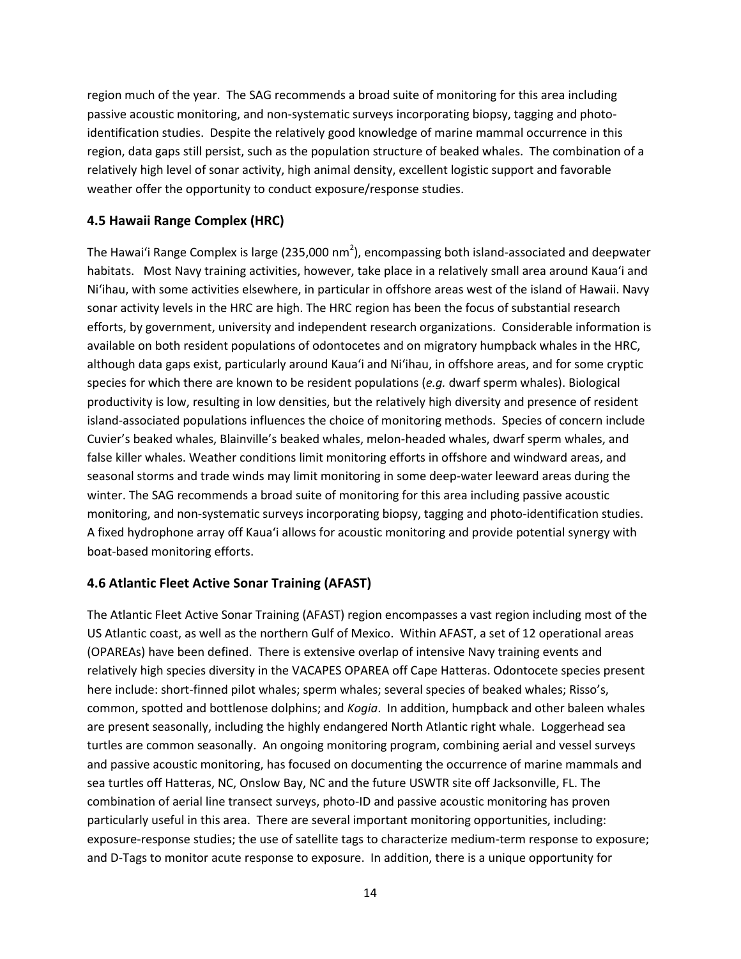region much of the year. The SAG recommends a broad suite of monitoring for this area including passive acoustic monitoring, and non-systematic surveys incorporating biopsy, tagging and photoidentification studies. Despite the relatively good knowledge of marine mammal occurrence in this region, data gaps still persist, such as the population structure of beaked whales. The combination of a relatively high level of sonar activity, high animal density, excellent logistic support and favorable weather offer the opportunity to conduct exposure/response studies.

#### **4.5 Hawaii Range Complex (HRC)**

The Hawai'i Range Complex is large (235,000 nm<sup>2</sup>), encompassing both island-associated and deepwater habitats. Most Navy training activities, however, take place in a relatively small area around Kaua'i and Ni'ihau, with some activities elsewhere, in particular in offshore areas west of the island of Hawaii. Navy sonar activity levels in the HRC are high. The HRC region has been the focus of substantial research efforts, by government, university and independent research organizations. Considerable information is available on both resident populations of odontocetes and on migratory humpback whales in the HRC, although data gaps exist, particularly around Kaua'i and Ni'ihau, in offshore areas, and for some cryptic species for which there are known to be resident populations (*e.g.* dwarf sperm whales). Biological productivity is low, resulting in low densities, but the relatively high diversity and presence of resident island-associated populations influences the choice of monitoring methods. Species of concern include Cuvier's beaked whales, Blainville's beaked whales, melon-headed whales, dwarf sperm whales, and false killer whales. Weather conditions limit monitoring efforts in offshore and windward areas, and seasonal storms and trade winds may limit monitoring in some deep-water leeward areas during the winter. The SAG recommends a broad suite of monitoring for this area including passive acoustic monitoring, and non-systematic surveys incorporating biopsy, tagging and photo-identification studies. A fixed hydrophone array off Kaua'i allows for acoustic monitoring and provide potential synergy with boat-based monitoring efforts.

#### **4.6 Atlantic Fleet Active Sonar Training (AFAST)**

The Atlantic Fleet Active Sonar Training (AFAST) region encompasses a vast region including most of the US Atlantic coast, as well as the northern Gulf of Mexico. Within AFAST, a set of 12 operational areas (OPAREAs) have been defined. There is extensive overlap of intensive Navy training events and relatively high species diversity in the VACAPES OPAREA off Cape Hatteras. Odontocete species present here include: short-finned pilot whales; sperm whales; several species of beaked whales; Risso's, common, spotted and bottlenose dolphins; and *Kogia*. In addition, humpback and other baleen whales are present seasonally, including the highly endangered North Atlantic right whale. Loggerhead sea turtles are common seasonally. An ongoing monitoring program, combining aerial and vessel surveys and passive acoustic monitoring, has focused on documenting the occurrence of marine mammals and sea turtles off Hatteras, NC, Onslow Bay, NC and the future USWTR site off Jacksonville, FL. The combination of aerial line transect surveys, photo-ID and passive acoustic monitoring has proven particularly useful in this area. There are several important monitoring opportunities, including: exposure-response studies; the use of satellite tags to characterize medium-term response to exposure; and D-Tags to monitor acute response to exposure. In addition, there is a unique opportunity for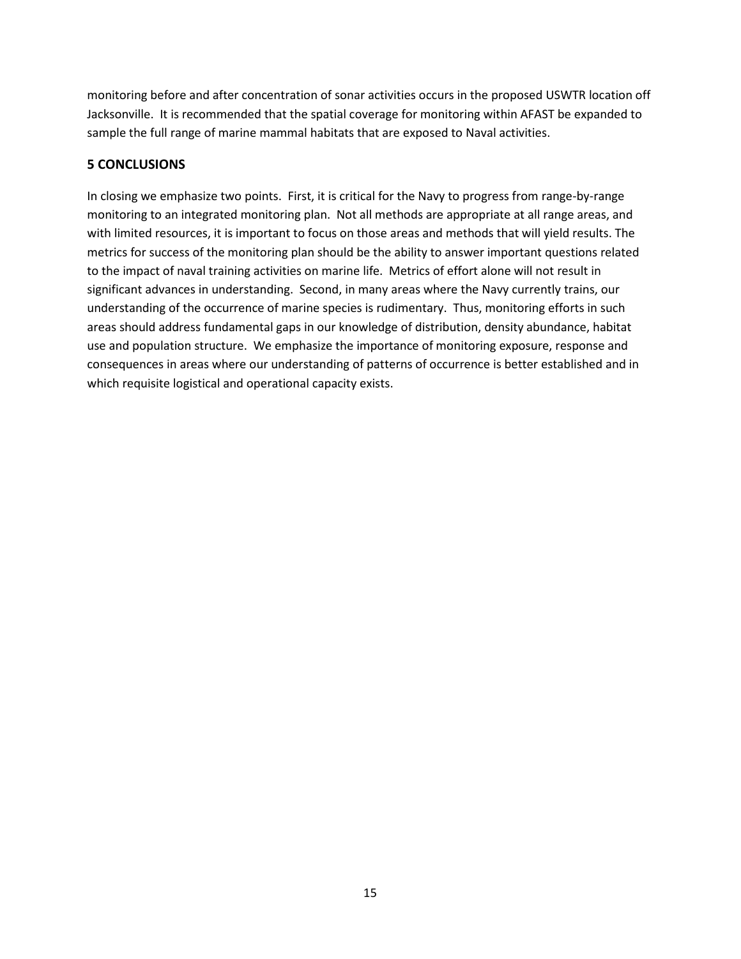monitoring before and after concentration of sonar activities occurs in the proposed USWTR location off Jacksonville. It is recommended that the spatial coverage for monitoring within AFAST be expanded to sample the full range of marine mammal habitats that are exposed to Naval activities.

#### **5 CONCLUSIONS**

In closing we emphasize two points. First, it is critical for the Navy to progress from range-by-range monitoring to an integrated monitoring plan. Not all methods are appropriate at all range areas, and with limited resources, it is important to focus on those areas and methods that will yield results. The metrics for success of the monitoring plan should be the ability to answer important questions related to the impact of naval training activities on marine life. Metrics of effort alone will not result in significant advances in understanding. Second, in many areas where the Navy currently trains, our understanding of the occurrence of marine species is rudimentary. Thus, monitoring efforts in such areas should address fundamental gaps in our knowledge of distribution, density abundance, habitat use and population structure. We emphasize the importance of monitoring exposure, response and consequences in areas where our understanding of patterns of occurrence is better established and in which requisite logistical and operational capacity exists.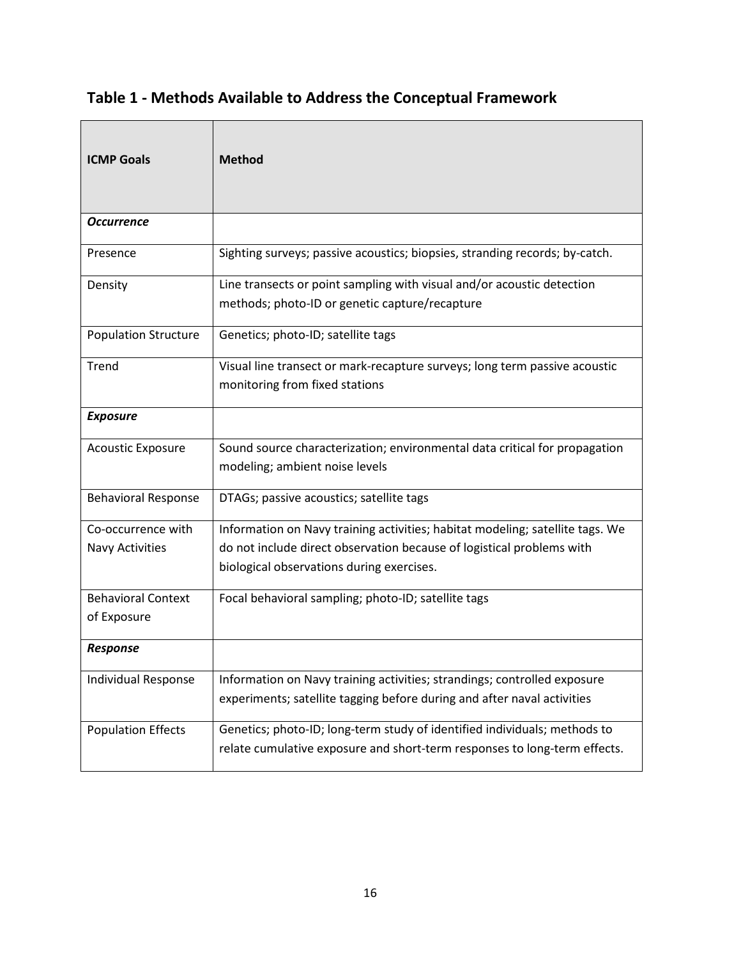# **Table 1 - Methods Available to Address the Conceptual Framework**

| <b>ICMP Goals</b>                            | <b>Method</b>                                                                                                                                                                                       |
|----------------------------------------------|-----------------------------------------------------------------------------------------------------------------------------------------------------------------------------------------------------|
| <b>Occurrence</b>                            |                                                                                                                                                                                                     |
| Presence                                     | Sighting surveys; passive acoustics; biopsies, stranding records; by-catch.                                                                                                                         |
| Density                                      | Line transects or point sampling with visual and/or acoustic detection<br>methods; photo-ID or genetic capture/recapture                                                                            |
| <b>Population Structure</b>                  | Genetics; photo-ID; satellite tags                                                                                                                                                                  |
| Trend                                        | Visual line transect or mark-recapture surveys; long term passive acoustic<br>monitoring from fixed stations                                                                                        |
| <b>Exposure</b>                              |                                                                                                                                                                                                     |
| <b>Acoustic Exposure</b>                     | Sound source characterization; environmental data critical for propagation<br>modeling; ambient noise levels                                                                                        |
| <b>Behavioral Response</b>                   | DTAGs; passive acoustics; satellite tags                                                                                                                                                            |
| Co-occurrence with<br><b>Navy Activities</b> | Information on Navy training activities; habitat modeling; satellite tags. We<br>do not include direct observation because of logistical problems with<br>biological observations during exercises. |
| <b>Behavioral Context</b><br>of Exposure     | Focal behavioral sampling; photo-ID; satellite tags                                                                                                                                                 |
| <b>Response</b>                              |                                                                                                                                                                                                     |
| <b>Individual Response</b>                   | Information on Navy training activities; strandings; controlled exposure<br>experiments; satellite tagging before during and after naval activities                                                 |
| <b>Population Effects</b>                    | Genetics; photo-ID; long-term study of identified individuals; methods to<br>relate cumulative exposure and short-term responses to long-term effects.                                              |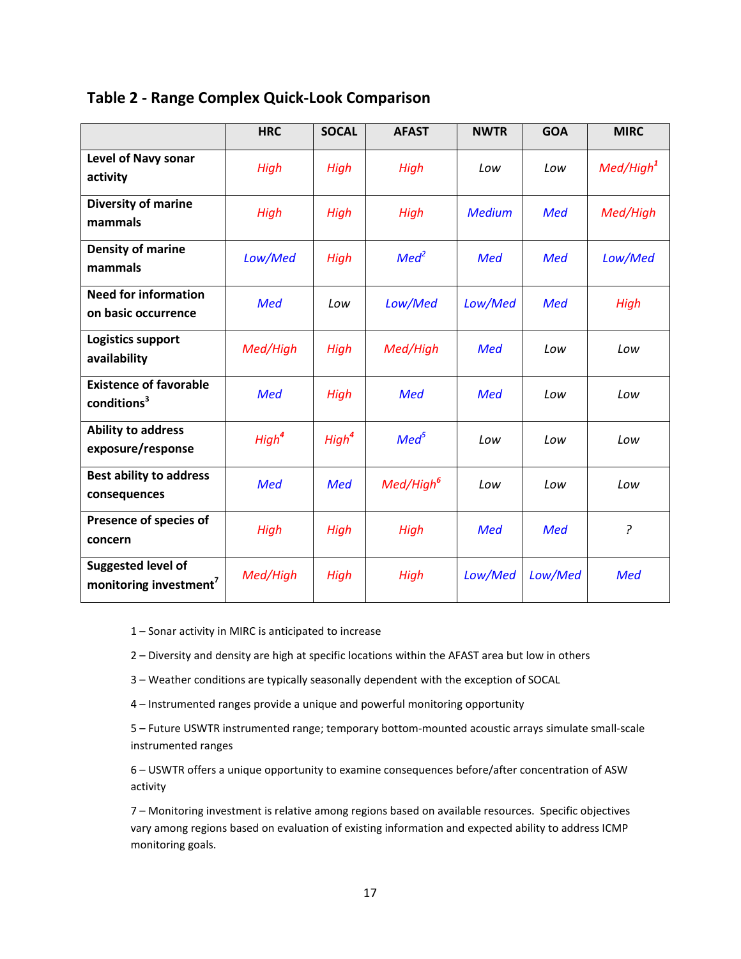|                                                                 | <b>HRC</b>        | <b>SOCAL</b>      | <b>AFAST</b>          | <b>NWTR</b>   | <b>GOA</b> | <b>MIRC</b>           |
|-----------------------------------------------------------------|-------------------|-------------------|-----------------------|---------------|------------|-----------------------|
| <b>Level of Navy sonar</b><br>activity                          | High              | High              | High                  | Low           | Low        | Med/High <sup>1</sup> |
| Diversity of marine<br>mammals                                  | High              | High              | High                  | <b>Medium</b> | <b>Med</b> | Med/High              |
| Density of marine<br>mammals                                    | Low/Med           | High              | Med <sup>2</sup>      | <b>Med</b>    | <b>Med</b> | Low/Med               |
| <b>Need for information</b><br>on basic occurrence              | <b>Med</b>        | Low               | Low/Med               | Low/Med       | <b>Med</b> | High                  |
| Logistics support<br>availability                               | Med/High          | High              | Med/High              | <b>Med</b>    | Low        | Low                   |
| <b>Existence of favorable</b><br>conditions <sup>3</sup>        | <b>Med</b>        | High              | <b>Med</b>            | <b>Med</b>    | Low        | Low                   |
| <b>Ability to address</b><br>exposure/response                  | High <sup>4</sup> | High <sup>4</sup> | Med <sup>5</sup>      | Low           | Low        | Low                   |
| <b>Best ability to address</b><br>consequences                  | <b>Med</b>        | <b>Med</b>        | Med/High <sup>6</sup> | Low           | Low        | Low                   |
| Presence of species of<br>concern                               | High              | High              | High                  | <b>Med</b>    | <b>Med</b> | ?                     |
| <b>Suggested level of</b><br>monitoring investment <sup>7</sup> | Med/High          | High              | High                  | Low/Med       | Low/Med    | <b>Med</b>            |

1 – Sonar activity in MIRC is anticipated to increase

2 – Diversity and density are high at specific locations within the AFAST area but low in others

3 – Weather conditions are typically seasonally dependent with the exception of SOCAL

4 – Instrumented ranges provide a unique and powerful monitoring opportunity

5 – Future USWTR instrumented range; temporary bottom-mounted acoustic arrays simulate small-scale instrumented ranges

6 – USWTR offers a unique opportunity to examine consequences before/after concentration of ASW activity

7 – Monitoring investment is relative among regions based on available resources. Specific objectives vary among regions based on evaluation of existing information and expected ability to address ICMP monitoring goals.